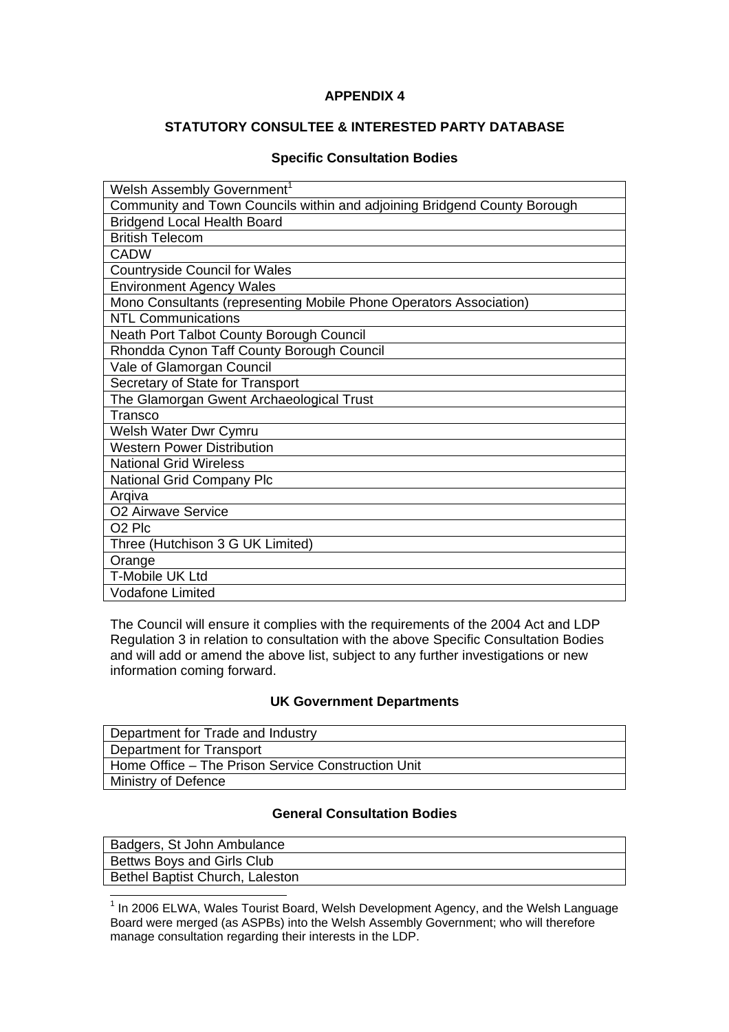# **APPENDIX 4**

# **STATUTORY CONSULTEE & INTERESTED PARTY DATABASE**

### **Specific Consultation Bodies**

| Welsh Assembly Government <sup>1</sup>                                   |
|--------------------------------------------------------------------------|
| Community and Town Councils within and adjoining Bridgend County Borough |
| <b>Bridgend Local Health Board</b>                                       |
| <b>British Telecom</b>                                                   |
| <b>CADW</b>                                                              |
| <b>Countryside Council for Wales</b>                                     |
| <b>Environment Agency Wales</b>                                          |
| Mono Consultants (representing Mobile Phone Operators Association)       |
| <b>NTL Communications</b>                                                |
| Neath Port Talbot County Borough Council                                 |
| Rhondda Cynon Taff County Borough Council                                |
| Vale of Glamorgan Council                                                |
| Secretary of State for Transport                                         |
| The Glamorgan Gwent Archaeological Trust                                 |
| Transco                                                                  |
| Welsh Water Dwr Cymru                                                    |
| <b>Western Power Distribution</b>                                        |
| <b>National Grid Wireless</b>                                            |
| <b>National Grid Company Plc</b>                                         |
| Arqiva                                                                   |
| O2 Airwave Service                                                       |
| O <sub>2</sub> Plc                                                       |
| Three (Hutchison 3 G UK Limited)                                         |
| Orange                                                                   |
| T-Mobile UK Ltd                                                          |
| <b>Vodafone Limited</b>                                                  |

The Council will ensure it complies with the requirements of the 2004 Act and LDP Regulation 3 in relation to consultation with the above Specific Consultation Bodies and will add or amend the above list, subject to any further investigations or new information coming forward.

#### **UK Government Departments**

| Department for Trade and Industry                  |
|----------------------------------------------------|
| Department for Transport                           |
| Home Office - The Prison Service Construction Unit |
| Ministry of Defence                                |

# **General Consultation Bodies**

| Badgers, St John Ambulance             |  |
|----------------------------------------|--|
| Bettws Boys and Girls Club             |  |
| <b>Bethel Baptist Church, Laleston</b> |  |
|                                        |  |

 1 In 2006 ELWA, Wales Tourist Board, Welsh Development Agency, and the Welsh Language Board were merged (as ASPBs) into the Welsh Assembly Government; who will therefore manage consultation regarding their interests in the LDP.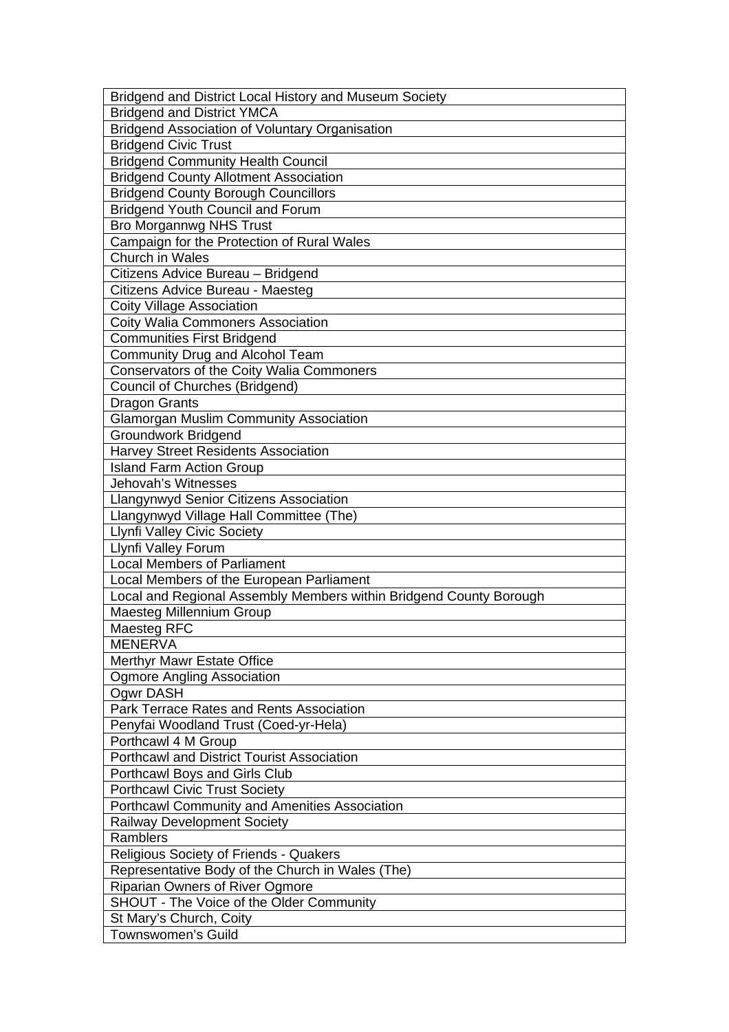| Bridgend and District Local History and Museum Society             |
|--------------------------------------------------------------------|
| <b>Bridgend and District YMCA</b>                                  |
| <b>Bridgend Association of Voluntary Organisation</b>              |
| <b>Bridgend Civic Trust</b>                                        |
| <b>Bridgend Community Health Council</b>                           |
| <b>Bridgend County Allotment Association</b>                       |
| <b>Bridgend County Borough Councillors</b>                         |
| <b>Bridgend Youth Council and Forum</b>                            |
| Bro Morgannwg NHS Trust                                            |
| Campaign for the Protection of Rural Wales                         |
| <b>Church in Wales</b>                                             |
| Citizens Advice Bureau - Bridgend                                  |
| Citizens Advice Bureau - Maesteg                                   |
| <b>Coity Village Association</b>                                   |
| <b>Coity Walia Commoners Association</b>                           |
| <b>Communities First Bridgend</b>                                  |
| Community Drug and Alcohol Team                                    |
| Conservators of the Coity Walia Commoners                          |
| Council of Churches (Bridgend)                                     |
| <b>Dragon Grants</b>                                               |
| <b>Glamorgan Muslim Community Association</b>                      |
| <b>Groundwork Bridgend</b>                                         |
| <b>Harvey Street Residents Association</b>                         |
| <b>Island Farm Action Group</b>                                    |
| Jehovah's Witnesses                                                |
| Llangynwyd Senior Citizens Association                             |
| Llangynwyd Village Hall Committee (The)                            |
| <b>Llynfi Valley Civic Society</b>                                 |
| Llynfi Valley Forum                                                |
| <b>Local Members of Parliament</b>                                 |
| Local Members of the European Parliament                           |
| Local and Regional Assembly Members within Bridgend County Borough |
| Maesteg Millennium Group                                           |
| Maesteg RFC                                                        |
| <b>MENERVA</b>                                                     |
|                                                                    |
| Merthyr Mawr Estate Office                                         |
| <b>Ogmore Angling Association</b><br><b>Ogwr DASH</b>              |
|                                                                    |
| Park Terrace Rates and Rents Association                           |
| Penyfai Woodland Trust (Coed-yr-Hela)                              |
| Porthcawl 4 M Group                                                |
| <b>Porthcawl and District Tourist Association</b>                  |
| Porthcawl Boys and Girls Club                                      |
| <b>Porthcawl Civic Trust Society</b>                               |
| <b>Porthcawl Community and Amenities Association</b>               |
| <b>Railway Development Society</b>                                 |
| Ramblers                                                           |
| <b>Religious Society of Friends - Quakers</b>                      |
| Representative Body of the Church in Wales (The)                   |
| <b>Riparian Owners of River Ogmore</b>                             |
| SHOUT - The Voice of the Older Community                           |
| St Mary's Church, Coity                                            |
| Townswomen's Guild                                                 |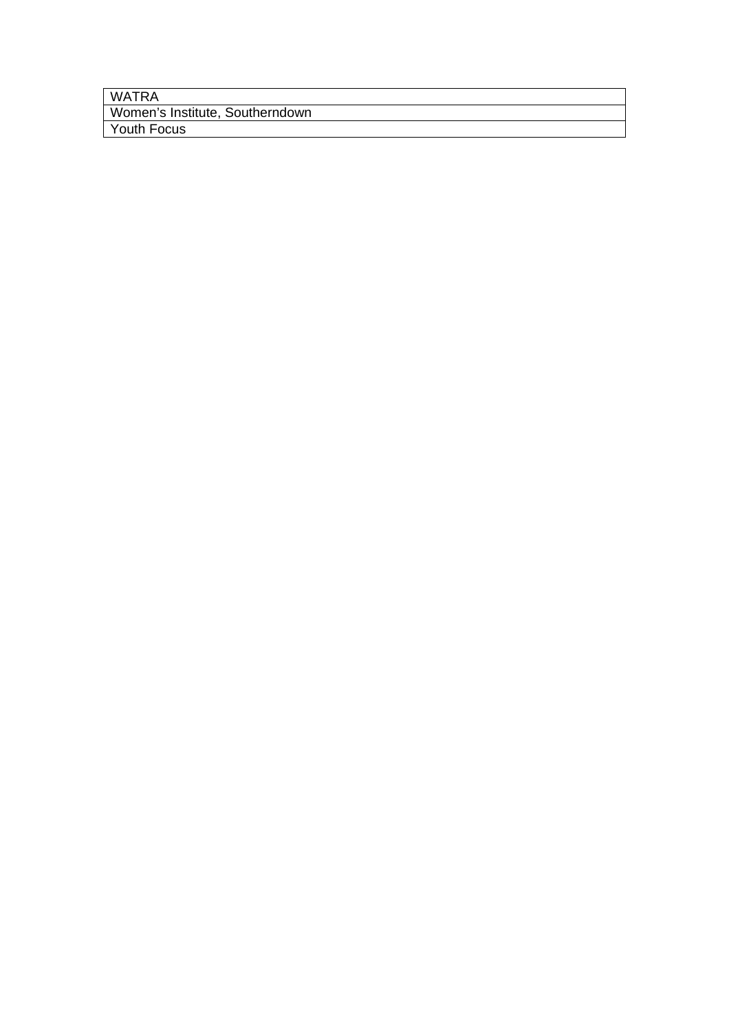| WATRA                           |
|---------------------------------|
| Women's Institute, Southerndown |
| <sup>1</sup> Youth Focus        |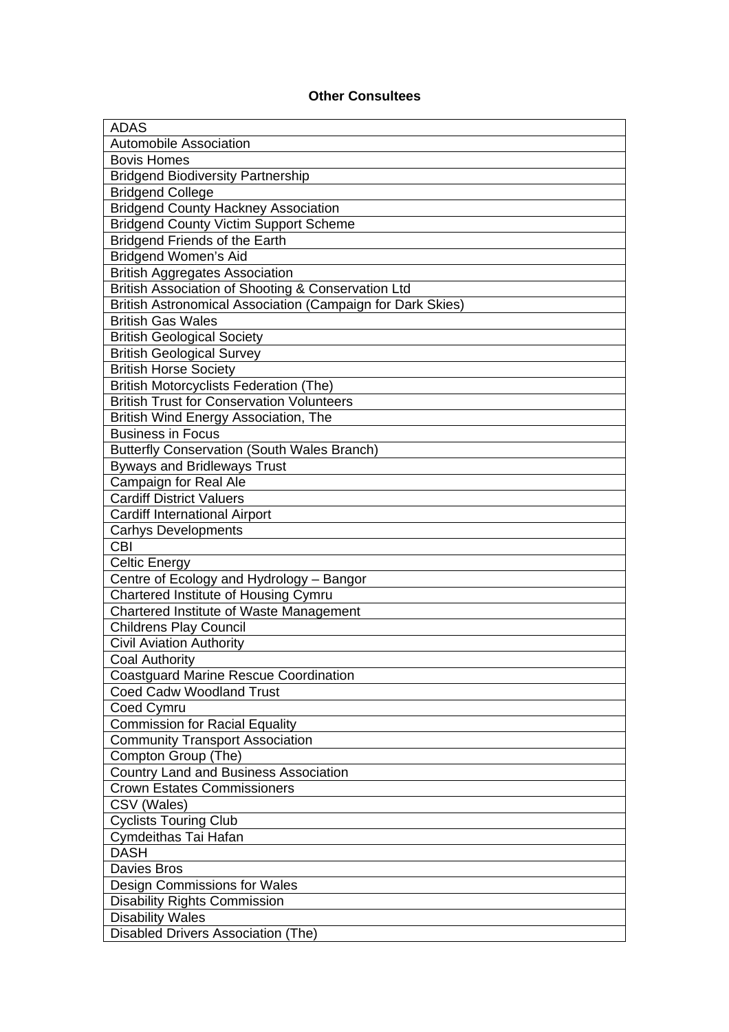# **Other Consultees**

| <b>ADAS</b>                                                |
|------------------------------------------------------------|
| <b>Automobile Association</b>                              |
| <b>Bovis Homes</b>                                         |
| <b>Bridgend Biodiversity Partnership</b>                   |
| <b>Bridgend College</b>                                    |
| <b>Bridgend County Hackney Association</b>                 |
| <b>Bridgend County Victim Support Scheme</b>               |
| <b>Bridgend Friends of the Earth</b>                       |
| <b>Bridgend Women's Aid</b>                                |
| <b>British Aggregates Association</b>                      |
| British Association of Shooting & Conservation Ltd         |
| British Astronomical Association (Campaign for Dark Skies) |
| <b>British Gas Wales</b>                                   |
| <b>British Geological Society</b>                          |
| <b>British Geological Survey</b>                           |
| <b>British Horse Society</b>                               |
| <b>British Motorcyclists Federation (The)</b>              |
| <b>British Trust for Conservation Volunteers</b>           |
| British Wind Energy Association, The                       |
| <b>Business in Focus</b>                                   |
| <b>Butterfly Conservation (South Wales Branch)</b>         |
| <b>Byways and Bridleways Trust</b>                         |
| Campaign for Real Ale                                      |
| <b>Cardiff District Valuers</b>                            |
| <b>Cardiff International Airport</b>                       |
| <b>Carhys Developments</b>                                 |
| <b>CBI</b>                                                 |
| Celtic Energy                                              |
| Centre of Ecology and Hydrology - Bangor                   |
| Chartered Institute of Housing Cymru                       |
| Chartered Institute of Waste Management                    |
| <b>Childrens Play Council</b>                              |
| <b>Civil Aviation Authority</b>                            |
| <b>Coal Authority</b>                                      |
| <b>Coastguard Marine Rescue Coordination</b>               |
| <b>Coed Cadw Woodland Trust</b>                            |
| Coed Cymru                                                 |
| <b>Commission for Racial Equality</b>                      |
| <b>Community Transport Association</b>                     |
| Compton Group (The)                                        |
| <b>Country Land and Business Association</b>               |
| <b>Crown Estates Commissioners</b>                         |
| CSV (Wales)                                                |
| <b>Cyclists Touring Club</b>                               |
| Cymdeithas Tai Hafan                                       |
| <b>DASH</b>                                                |
| <b>Davies Bros</b>                                         |
| Design Commissions for Wales                               |
| <b>Disability Rights Commission</b>                        |
| <b>Disability Wales</b>                                    |
| <b>Disabled Drivers Association (The)</b>                  |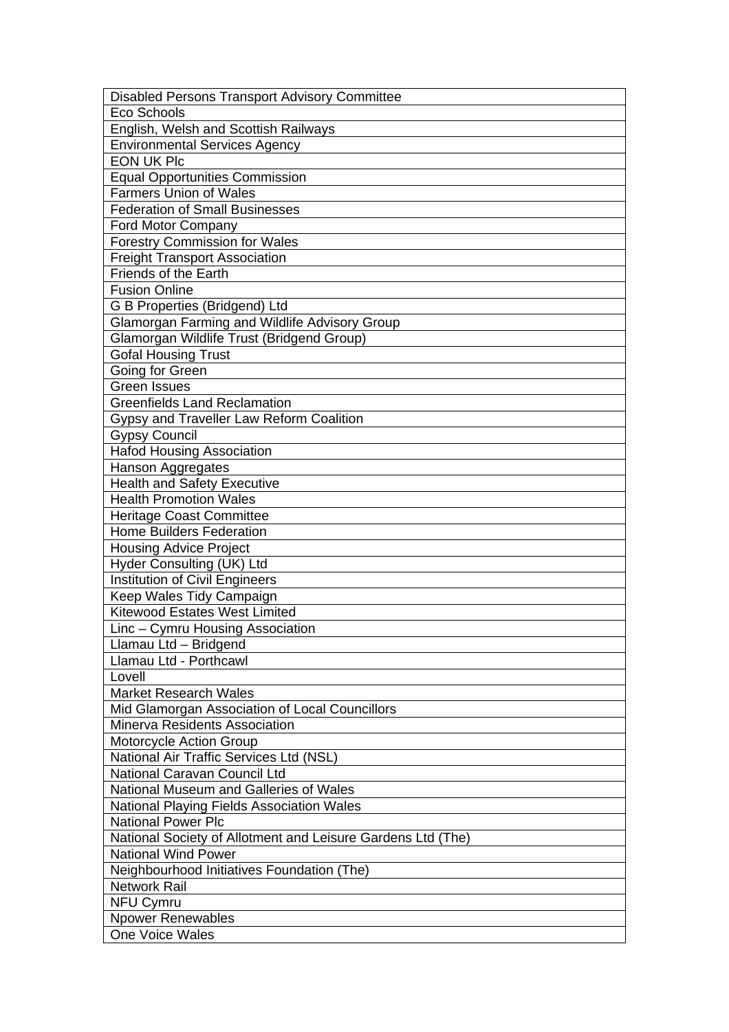| <b>Disabled Persons Transport Advisory Committee</b>        |
|-------------------------------------------------------------|
| Eco Schools                                                 |
| English, Welsh and Scottish Railways                        |
| <b>Environmental Services Agency</b>                        |
| <b>EON UK Plc</b>                                           |
| <b>Equal Opportunities Commission</b>                       |
| <b>Farmers Union of Wales</b>                               |
| <b>Federation of Small Businesses</b>                       |
| Ford Motor Company                                          |
| <b>Forestry Commission for Wales</b>                        |
| <b>Freight Transport Association</b>                        |
| <b>Friends of the Earth</b>                                 |
| <b>Fusion Online</b>                                        |
| G B Properties (Bridgend) Ltd                               |
| Glamorgan Farming and Wildlife Advisory Group               |
| Glamorgan Wildlife Trust (Bridgend Group)                   |
| <b>Gofal Housing Trust</b>                                  |
| Going for Green                                             |
| <b>Green Issues</b>                                         |
| <b>Greenfields Land Reclamation</b>                         |
| Gypsy and Traveller Law Reform Coalition                    |
| <b>Gypsy Council</b>                                        |
| <b>Hafod Housing Association</b>                            |
| Hanson Aggregates                                           |
| <b>Health and Safety Executive</b>                          |
| <b>Health Promotion Wales</b>                               |
| <b>Heritage Coast Committee</b>                             |
| <b>Home Builders Federation</b>                             |
| <b>Housing Advice Project</b>                               |
| Hyder Consulting (UK) Ltd                                   |
| <b>Institution of Civil Engineers</b>                       |
| Keep Wales Tidy Campaign                                    |
| <b>Kitewood Estates West Limited</b>                        |
| Linc - Cymru Housing Association                            |
| Llamau Ltd - Bridgend                                       |
| Llamau Ltd - Porthcawl                                      |
| Lovell                                                      |
| <b>Market Research Wales</b>                                |
| Mid Glamorgan Association of Local Councillors              |
| Minerva Residents Association                               |
| Motorcycle Action Group                                     |
| National Air Traffic Services Ltd (NSL)                     |
| National Caravan Council Ltd                                |
| National Museum and Galleries of Wales                      |
| National Playing Fields Association Wales                   |
| <b>National Power Plc</b>                                   |
| National Society of Allotment and Leisure Gardens Ltd (The) |
| <b>National Wind Power</b>                                  |
| Neighbourhood Initiatives Foundation (The)                  |
| <b>Network Rail</b>                                         |
| <b>NFU Cymru</b>                                            |
| <b>Npower Renewables</b>                                    |
| One Voice Wales                                             |
|                                                             |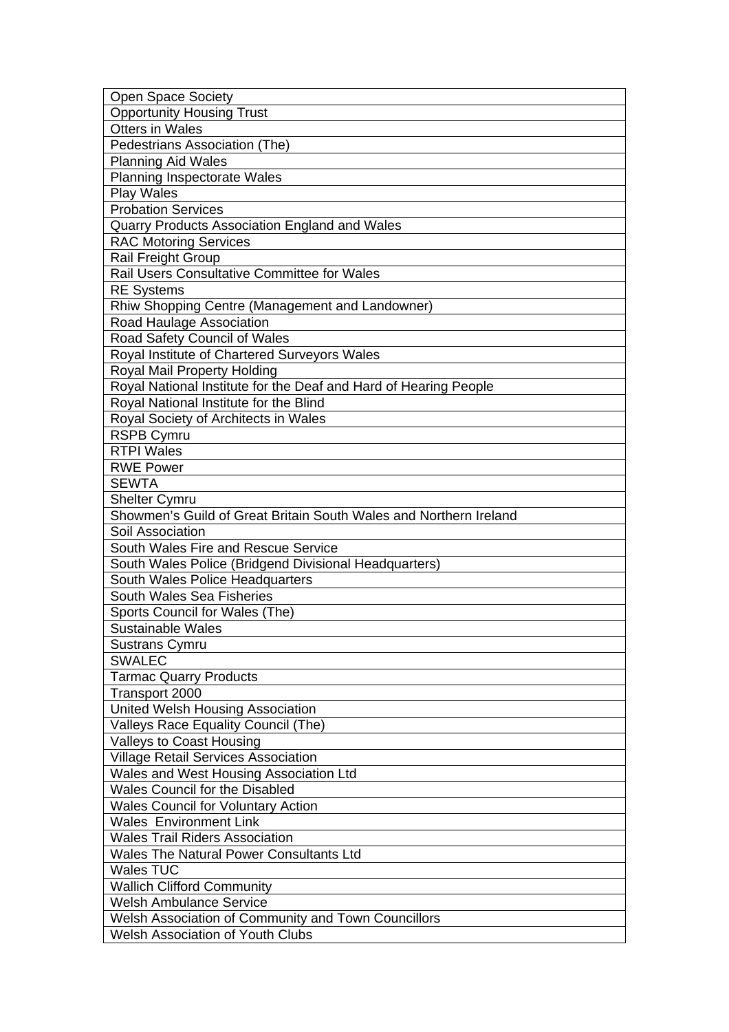| <b>Open Space Society</b>                                                                 |
|-------------------------------------------------------------------------------------------|
| <b>Opportunity Housing Trust</b>                                                          |
| <b>Otters in Wales</b>                                                                    |
| Pedestrians Association (The)                                                             |
| <b>Planning Aid Wales</b>                                                                 |
| <b>Planning Inspectorate Wales</b>                                                        |
| <b>Play Wales</b>                                                                         |
| <b>Probation Services</b>                                                                 |
| Quarry Products Association England and Wales                                             |
| <b>RAC Motoring Services</b>                                                              |
| Rail Freight Group                                                                        |
| Rail Users Consultative Committee for Wales                                               |
| <b>RE Systems</b>                                                                         |
| Rhiw Shopping Centre (Management and Landowner)                                           |
| Road Haulage Association                                                                  |
| Road Safety Council of Wales                                                              |
| Royal Institute of Chartered Surveyors Wales                                              |
| Royal Mail Property Holding                                                               |
| Royal National Institute for the Deaf and Hard of Hearing People                          |
| Royal National Institute for the Blind                                                    |
| Royal Society of Architects in Wales                                                      |
| <b>RSPB Cymru</b>                                                                         |
| <b>RTPI Wales</b>                                                                         |
| <b>RWE Power</b>                                                                          |
| <b>SEWTA</b>                                                                              |
|                                                                                           |
| <b>Shelter Cymru</b><br>Showmen's Guild of Great Britain South Wales and Northern Ireland |
| Soil Association                                                                          |
| South Wales Fire and Rescue Service                                                       |
| South Wales Police (Bridgend Divisional Headquarters)                                     |
| South Wales Police Headquarters                                                           |
| South Wales Sea Fisheries                                                                 |
| Sports Council for Wales (The)                                                            |
| Sustainable Wales                                                                         |
| <b>Sustrans Cymru</b>                                                                     |
| <b>SWALEC</b>                                                                             |
|                                                                                           |
| <b>Tarmac Quarry Products</b><br>Transport 2000                                           |
| United Welsh Housing Association                                                          |
| Valleys Race Equality Council (The)                                                       |
| Valleys to Coast Housing                                                                  |
| <b>Village Retail Services Association</b>                                                |
| Wales and West Housing Association Ltd                                                    |
| <b>Wales Council for the Disabled</b>                                                     |
| <b>Wales Council for Voluntary Action</b>                                                 |
| <b>Wales Environment Link</b>                                                             |
| <b>Wales Trail Riders Association</b>                                                     |
| <b>Wales The Natural Power Consultants Ltd</b>                                            |
| <b>Wales TUC</b>                                                                          |
| <b>Wallich Clifford Community</b>                                                         |
| <b>Welsh Ambulance Service</b>                                                            |
| Welsh Association of Community and Town Councillors                                       |
| <b>Welsh Association of Youth Clubs</b>                                                   |
|                                                                                           |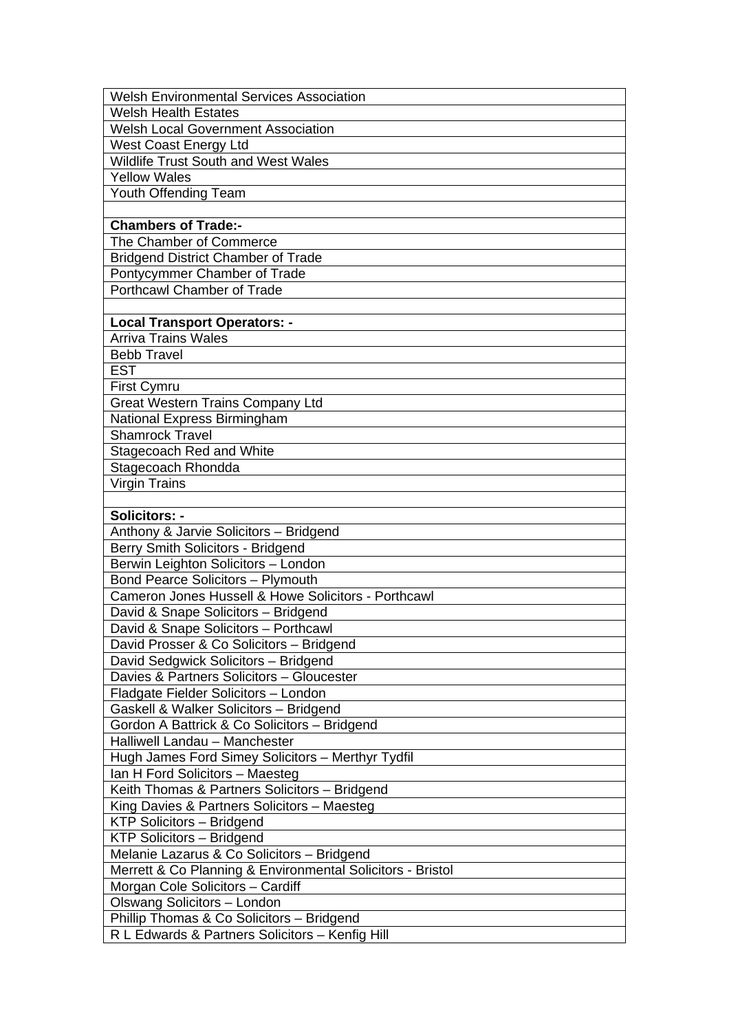| <b>Welsh Environmental Services Association</b>            |
|------------------------------------------------------------|
| <b>Welsh Health Estates</b>                                |
| <b>Welsh Local Government Association</b>                  |
| West Coast Energy Ltd                                      |
| <b>Wildlife Trust South and West Wales</b>                 |
| <b>Yellow Wales</b>                                        |
| Youth Offending Team                                       |
|                                                            |
| <b>Chambers of Trade:-</b>                                 |
| The Chamber of Commerce                                    |
| <b>Bridgend District Chamber of Trade</b>                  |
| Pontycymmer Chamber of Trade                               |
| <b>Porthcawl Chamber of Trade</b>                          |
|                                                            |
| <b>Local Transport Operators: -</b>                        |
| <b>Arriva Trains Wales</b>                                 |
| <b>Bebb Travel</b>                                         |
| <b>EST</b>                                                 |
| <b>First Cymru</b>                                         |
| <b>Great Western Trains Company Ltd</b>                    |
| National Express Birmingham                                |
| <b>Shamrock Travel</b>                                     |
| Stagecoach Red and White                                   |
| Stagecoach Rhondda                                         |
| <b>Virgin Trains</b>                                       |
|                                                            |
| Solicitors: -                                              |
| Anthony & Jarvie Solicitors - Bridgend                     |
| Berry Smith Solicitors - Bridgend                          |
| Berwin Leighton Solicitors - London                        |
| <b>Bond Pearce Solicitors - Plymouth</b>                   |
| Cameron Jones Hussell & Howe Solicitors - Porthcawl        |
| David & Snape Solicitors - Bridgend                        |
| David & Snape Solicitors - Porthcawl                       |
| David Prosser & Co Solicitors - Bridgend                   |
| David Sedgwick Solicitors - Bridgend                       |
| Davies & Partners Solicitors - Gloucester                  |
| Fladgate Fielder Solicitors - London                       |
| Gaskell & Walker Solicitors - Bridgend                     |
| Gordon A Battrick & Co Solicitors - Bridgend               |
| Halliwell Landau - Manchester                              |
| Hugh James Ford Simey Solicitors - Merthyr Tydfil          |
| Ian H Ford Solicitors - Maesteg                            |
| Keith Thomas & Partners Solicitors - Bridgend              |
| King Davies & Partners Solicitors - Maesteg                |
| <b>KTP Solicitors - Bridgend</b>                           |
| <b>KTP Solicitors - Bridgend</b>                           |
| Melanie Lazarus & Co Solicitors - Bridgend                 |
| Merrett & Co Planning & Environmental Solicitors - Bristol |
| Morgan Cole Solicitors - Cardiff                           |
| Olswang Solicitors - London                                |
| Phillip Thomas & Co Solicitors - Bridgend                  |
| R L Edwards & Partners Solicitors - Kenfig Hill            |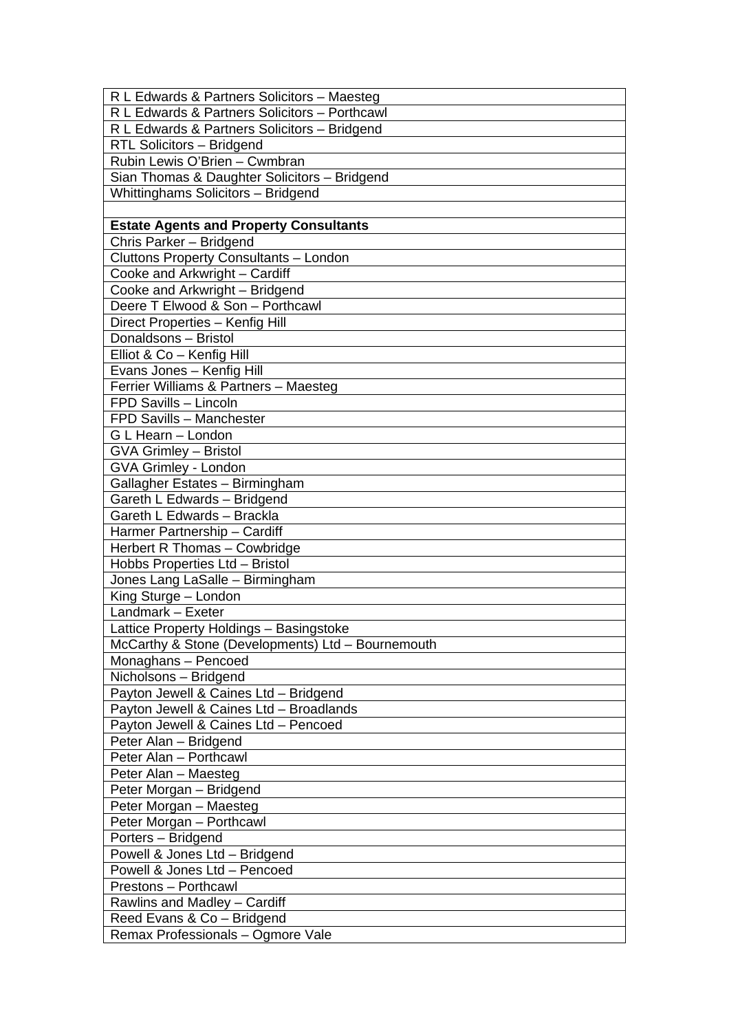| R L Edwards & Partners Solicitors - Maesteg       |
|---------------------------------------------------|
| R L Edwards & Partners Solicitors - Porthcawl     |
| R L Edwards & Partners Solicitors - Bridgend      |
| RTL Solicitors - Bridgend                         |
| Rubin Lewis O'Brien - Cwmbran                     |
| Sian Thomas & Daughter Solicitors - Bridgend      |
| <b>Whittinghams Solicitors - Bridgend</b>         |
|                                                   |
| <b>Estate Agents and Property Consultants</b>     |
| Chris Parker - Bridgend                           |
| Cluttons Property Consultants - London            |
| Cooke and Arkwright - Cardiff                     |
| Cooke and Arkwright - Bridgend                    |
| Deere T Elwood & Son - Porthcawl                  |
| Direct Properties - Kenfig Hill                   |
| Donaldsons - Bristol                              |
| Elliot & Co - Kenfig Hill                         |
| Evans Jones - Kenfig Hill                         |
| Ferrier Williams & Partners - Maesteg             |
| FPD Savills - Lincoln                             |
| FPD Savills - Manchester                          |
| G L Hearn - London                                |
| <b>GVA Grimley - Bristol</b>                      |
| GVA Grimley - London                              |
| Gallagher Estates - Birmingham                    |
| Gareth L Edwards - Bridgend                       |
| Gareth L Edwards - Brackla                        |
| Harmer Partnership - Cardiff                      |
| Herbert R Thomas - Cowbridge                      |
| Hobbs Properties Ltd - Bristol                    |
| Jones Lang LaSalle - Birmingham                   |
| King Sturge - London                              |
| Landmark - Exeter                                 |
| Lattice Property Holdings - Basingstoke           |
| McCarthy & Stone (Developments) Ltd - Bournemouth |
| Monaghans - Pencoed                               |
| Nicholsons - Bridgend                             |
| Payton Jewell & Caines Ltd - Bridgend             |
| Payton Jewell & Caines Ltd - Broadlands           |
| Payton Jewell & Caines Ltd - Pencoed              |
| Peter Alan - Bridgend                             |
| Peter Alan - Porthcawl                            |
| Peter Alan - Maesteg                              |
| Peter Morgan - Bridgend                           |
| Peter Morgan - Maesteg                            |
| Peter Morgan - Porthcawl                          |
| Porters - Bridgend                                |
| Powell & Jones Ltd - Bridgend                     |
| Powell & Jones Ltd - Pencoed                      |
| Prestons - Porthcawl                              |
| Rawlins and Madley - Cardiff                      |
| Reed Evans & Co - Bridgend                        |
| Remax Professionals - Ogmore Vale                 |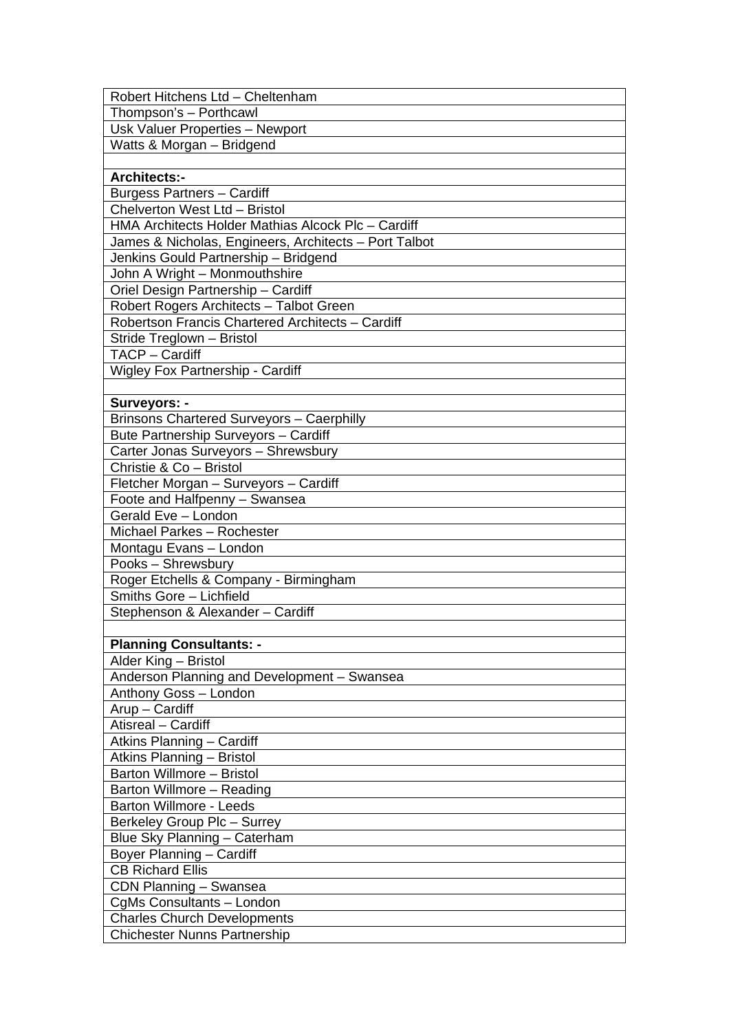| Robert Hitchens Ltd - Cheltenham                      |
|-------------------------------------------------------|
| Thompson's - Porthcawl                                |
| Usk Valuer Properties - Newport                       |
| Watts & Morgan - Bridgend                             |
|                                                       |
| <b>Architects:-</b>                                   |
| Burgess Partners - Cardiff                            |
| Chelverton West Ltd - Bristol                         |
| HMA Architects Holder Mathias Alcock Plc - Cardiff    |
| James & Nicholas, Engineers, Architects - Port Talbot |
| Jenkins Gould Partnership - Bridgend                  |
| John A Wright - Monmouthshire                         |
| Oriel Design Partnership - Cardiff                    |
| Robert Rogers Architects - Talbot Green               |
| Robertson Francis Chartered Architects - Cardiff      |
| Stride Treglown - Bristol                             |
| TACP - Cardiff                                        |
| <b>Wigley Fox Partnership - Cardiff</b>               |
|                                                       |
| <b>Surveyors: -</b>                                   |
| <b>Brinsons Chartered Surveyors - Caerphilly</b>      |
| Bute Partnership Surveyors - Cardiff                  |
| Carter Jonas Surveyors - Shrewsbury                   |
| Christie & Co - Bristol                               |
| Fletcher Morgan - Surveyors - Cardiff                 |
| Foote and Halfpenny - Swansea                         |
| Gerald Eve - London                                   |
| Michael Parkes - Rochester                            |
| Montagu Evans - London                                |
| Pooks - Shrewsbury                                    |
| Roger Etchells & Company - Birmingham                 |
| Smiths Gore - Lichfield                               |
| Stephenson & Alexander - Cardiff                      |
|                                                       |
| <b>Planning Consultants: -</b>                        |
| Alder King - Bristol                                  |
| Anderson Planning and Development - Swansea           |
| Anthony Goss - London                                 |
| Arup - Cardiff                                        |
| Atisreal - Cardiff                                    |
| Atkins Planning - Cardiff                             |
| <b>Atkins Planning - Bristol</b>                      |
| Barton Willmore - Bristol                             |
| Barton Willmore - Reading                             |
| <b>Barton Willmore - Leeds</b>                        |
| Berkeley Group Plc - Surrey                           |
| Blue Sky Planning - Caterham                          |
| Boyer Planning - Cardiff                              |
| <b>CB Richard Ellis</b>                               |
| CDN Planning - Swansea                                |
| CgMs Consultants - London                             |
| <b>Charles Church Developments</b>                    |
| <b>Chichester Nunns Partnership</b>                   |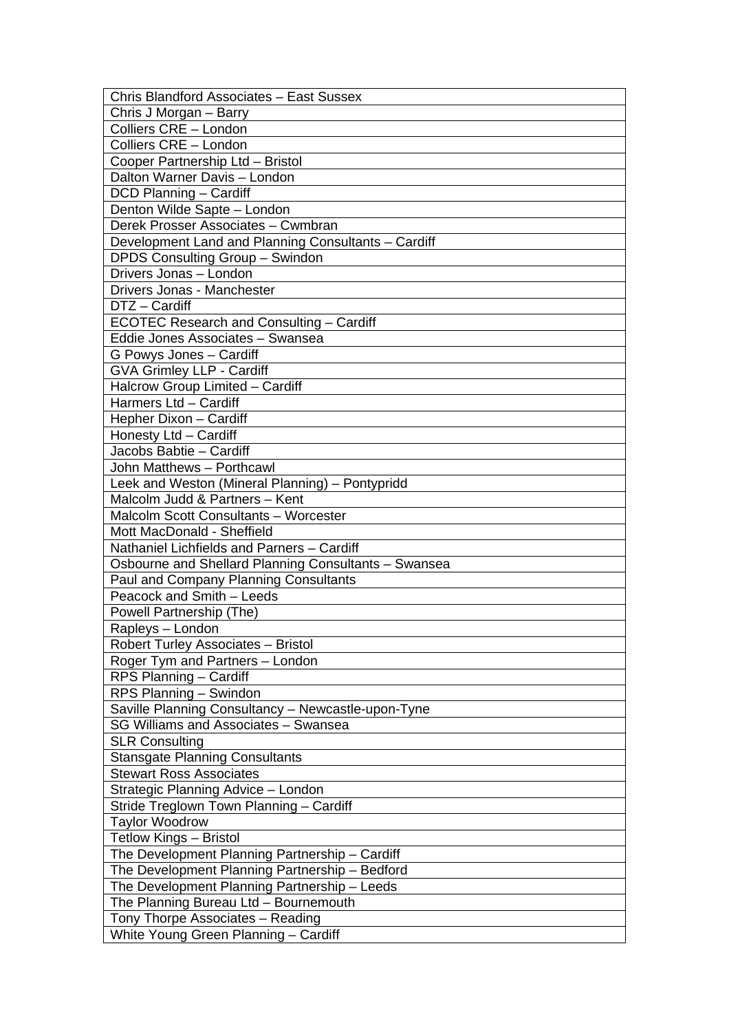| Chris Blandford Associates - East Sussex             |
|------------------------------------------------------|
| Chris J Morgan - Barry                               |
| Colliers CRE - London                                |
| Colliers CRE - London                                |
| Cooper Partnership Ltd - Bristol                     |
| Dalton Warner Davis - London                         |
| DCD Planning - Cardiff                               |
| Denton Wilde Sapte - London                          |
| Derek Prosser Associates - Cwmbran                   |
| Development Land and Planning Consultants - Cardiff  |
| DPDS Consulting Group - Swindon                      |
| Drivers Jonas - London                               |
| Drivers Jonas - Manchester                           |
| DTZ - Cardiff                                        |
| ECOTEC Research and Consulting - Cardiff             |
| Eddie Jones Associates - Swansea                     |
| G Powys Jones - Cardiff                              |
| <b>GVA Grimley LLP - Cardiff</b>                     |
| Halcrow Group Limited - Cardiff                      |
| Harmers Ltd - Cardiff                                |
| Hepher Dixon - Cardiff                               |
| Honesty Ltd - Cardiff                                |
| Jacobs Babtie - Cardiff                              |
| John Matthews - Porthcawl                            |
| Leek and Weston (Mineral Planning) - Pontypridd      |
| Malcolm Judd & Partners - Kent                       |
| <b>Malcolm Scott Consultants - Worcester</b>         |
| Mott MacDonald - Sheffield                           |
| Nathaniel Lichfields and Parners - Cardiff           |
| Osbourne and Shellard Planning Consultants - Swansea |
| Paul and Company Planning Consultants                |
| Peacock and Smith - Leeds                            |
| Powell Partnership (The)                             |
| Rapleys - London                                     |
| <b>Robert Turley Associates - Bristol</b>            |
| Roger Tym and Partners - London                      |
| RPS Planning - Cardiff                               |
| RPS Planning - Swindon                               |
| Saville Planning Consultancy - Newcastle-upon-Tyne   |
| SG Williams and Associates - Swansea                 |
| <b>SLR Consulting</b>                                |
| <b>Stansgate Planning Consultants</b>                |
| <b>Stewart Ross Associates</b>                       |
| Strategic Planning Advice - London                   |
| Stride Treglown Town Planning - Cardiff              |
| <b>Taylor Woodrow</b>                                |
| <b>Tetlow Kings - Bristol</b>                        |
| The Development Planning Partnership - Cardiff       |
| The Development Planning Partnership - Bedford       |
| The Development Planning Partnership - Leeds         |
| The Planning Bureau Ltd - Bournemouth                |
| Tony Thorpe Associates - Reading                     |
| White Young Green Planning - Cardiff                 |
|                                                      |